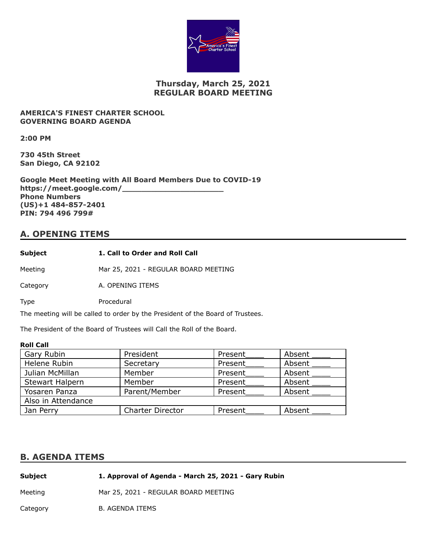

# **Thursday, March 25, 2021 REGULAR BOARD MEETING**

### **AMERICA'S FINEST CHARTER SCHOOL GOVERNING BOARD AGENDA**

**2:00 PM**

**730 45th Street San Diego, CA 92102**

**Google Meet Meeting with All Board Members Due to COVID-19 https://meet.google.com/\_\_\_\_\_\_\_\_\_\_\_\_\_\_\_\_\_\_\_\_\_ Phone Numbers (US)+1 484-857-2401 PIN: 794 496 799#**

## **A. OPENING ITEMS**

Meeting Mar 25, 2021 - REGULAR BOARD MEETING

Category **A. OPENING ITEMS** 

Type Procedural

The meeting will be called to order by the President of the Board of Trustees.

The President of the Board of Trustees will Call the Roll of the Board.

### **Roll Call**

| Gary Rubin             | President               | Present | Absent |
|------------------------|-------------------------|---------|--------|
| Helene Rubin           | Secretary               | Present | Absent |
| Julian McMillan        | Member                  | Present | Absent |
| <b>Stewart Halpern</b> | Member                  | Present | Absent |
| Yosaren Panza          | Parent/Member           | Present | Absent |
| Also in Attendance     |                         |         |        |
| Jan Perry              | <b>Charter Director</b> | Present | Absent |

### **B. AGENDA ITEMS**

| Subject  | 1. Approval of Agenda - March 25, 2021 - Gary Rubin |
|----------|-----------------------------------------------------|
| Meetina  | Mar 25, 2021 - REGULAR BOARD MEETING                |
| Category | B. AGENDA ITEMS                                     |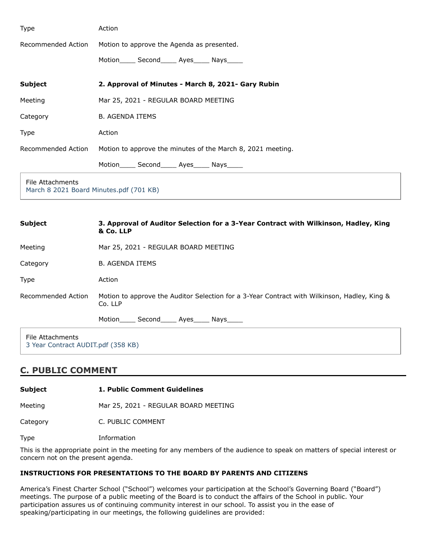| Type                                                        | Action                                                      |  |
|-------------------------------------------------------------|-------------------------------------------------------------|--|
| Recommended Action                                          | Motion to approve the Agenda as presented.                  |  |
|                                                             | Motion_______ Second_______ Ayes_______ Nays______          |  |
| <b>Subject</b>                                              | 2. Approval of Minutes - March 8, 2021- Gary Rubin          |  |
| Meeting                                                     | Mar 25, 2021 - REGULAR BOARD MEETING                        |  |
| Category                                                    | <b>B. AGENDA ITEMS</b>                                      |  |
| Type                                                        | Action                                                      |  |
| Recommended Action                                          | Motion to approve the minutes of the March 8, 2021 meeting. |  |
|                                                             | Motion_______ Second______ Ayes______ Nays______            |  |
| File Attachments<br>March 8 2021 Board Minutes.pdf (701 KB) |                                                             |  |

| <b>Subject</b>     | 3. Approval of Auditor Selection for a 3-Year Contract with Wilkinson, Hadley, King<br>& Co. LLP        |
|--------------------|---------------------------------------------------------------------------------------------------------|
| Meeting            | Mar 25, 2021 - REGULAR BOARD MEETING                                                                    |
| Category           | <b>B. AGENDA ITEMS</b>                                                                                  |
| <b>Type</b>        | Action                                                                                                  |
| Recommended Action | Motion to approve the Auditor Selection for a 3-Year Contract with Wilkinson, Hadley, King &<br>Co. LLP |
|                    | Motion _____ Second_____ Ayes_____ Nays_____                                                            |
| File Attachments   |                                                                                                         |

[3 Year Contract AUDIT.pdf \(358 KB\)](https://go.boarddocs.com/ca/americasfinest/Board.nsf/files/C36S8T6F4156/$file/3%20Year%20Contract%20AUDIT.pdf)

## **C. PUBLIC COMMENT**

**Subject 1. Public Comment Guidelines**

Meeting Mar 25, 2021 - REGULAR BOARD MEETING

Category C. PUBLIC COMMENT

Type Information

This is the appropriate point in the meeting for any members of the audience to speak on matters of special interest or concern not on the present agenda.

### **INSTRUCTIONS FOR PRESENTATIONS TO THE BOARD BY PARENTS AND CITIZENS**

America's Finest Charter School ("School") welcomes your participation at the School's Governing Board ("Board") meetings. The purpose of a public meeting of the Board is to conduct the affairs of the School in public. Your participation assures us of continuing community interest in our school. To assist you in the ease of speaking/participating in our meetings, the following guidelines are provided: